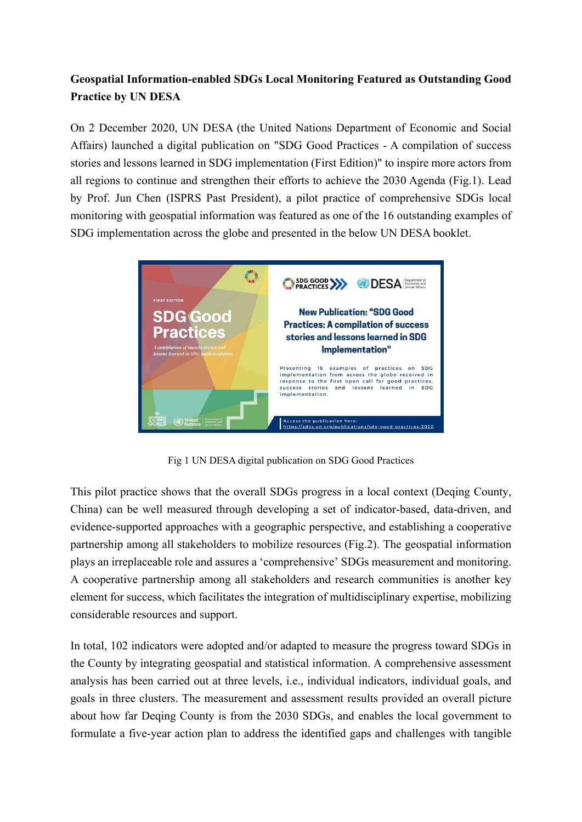## **Geospatial Information-enabled SDGs Local Monitoring Featured as Outstanding Good Practice by UN DESA**

On 2 December 2020, UN DESA (the United Nations Department of Economic and Social Affairs) launched a digital publication on "SDG Good Practices - A compilation of success stories and lessons learned in SDG implementation (First Edition)" to inspire more actors from all regions to continue and strengthen their efforts to achieve the 2030 Agenda (Fig.1). Lead by Prof. Jun Chen (ISPRS Past President), a pilot practice of comprehensive SDGs local monitoring with geospatial information was featured as one of the 16 outstanding examples of SDG implementation across the globe and presented in the below UN DESA booklet.



Fig 1 UN DESA digital publication on SDG Good Practices

This pilot practice shows that the overall SDGs progress in a local context (Deqing County, China) can be well measured through developing a set of indicator-based, data-driven, and evidence-supported approaches with a geographic perspective, and establishing a cooperative partnership among all stakeholders to mobilize resources (Fig.2). The geospatial information plays an irreplaceable role and assures a 'comprehensive' SDGs measurement and monitoring. A cooperative partnership among all stakeholders and research communities is another key element for success, which facilitates the integration of multidisciplinary expertise, mobilizing considerable resources and support.

In total, 102 indicators were adopted and/or adapted to measure the progress toward SDGs in the County by integrating geospatial and statistical information. A comprehensive assessment analysis has been carried out at three levels, i.e., individual indicators, individual goals, and goals in three clusters. The measurement and assessment results provided an overall picture about how far Deqing County is from the 2030 SDGs, and enables the local government to formulate a five-year action plan to address the identified gaps and challenges with tangible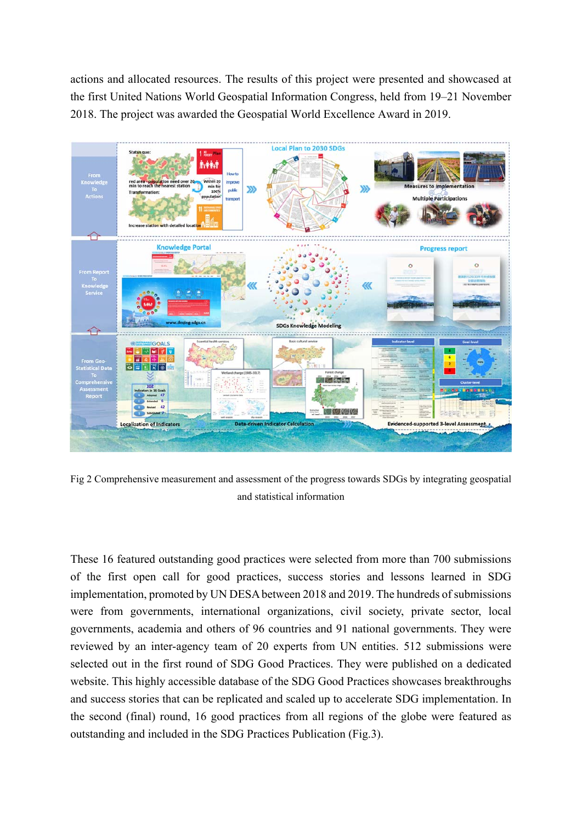actions and allocated resources. The results of this project were presented and showcased at the first United Nations World Geospatial Information Congress, held from 19–21 November 2018. The project was awarded the Geospatial World Excellence Award in 2019.



Fig 2 Comprehensive measurement and assessment of the progress towards SDGs by integrating geospatial and statistical information

These 16 featured outstanding good practices were selected from more than 700 submissions of the first open call for good practices, success stories and lessons learned in SDG implementation, promoted by UN DESA between 2018 and 2019. The hundreds of submissions were from governments, international organizations, civil society, private sector, local governments, academia and others of 96 countries and 91 national governments. They were reviewed by an inter-agency team of 20 experts from UN entities. 512 submissions were selected out in the first round of SDG Good Practices. They were published on a dedicated website. This highly accessible database of the SDG Good Practices showcases breakthroughs and success stories that can be replicated and scaled up to accelerate SDG implementation. In the second (final) round, 16 good practices from all regions of the globe were featured as outstanding and included in the SDG Practices Publication (Fig.3).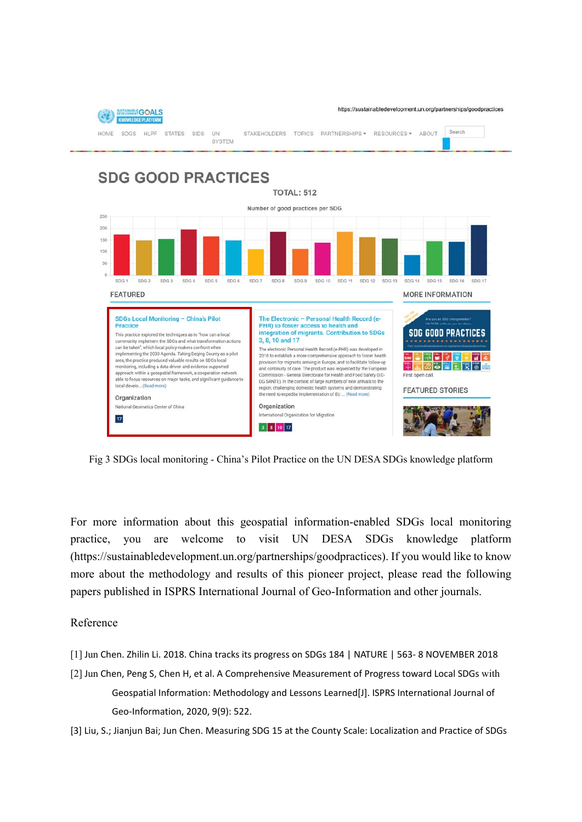

Fig 3 SDGs local monitoring - China's Pilot Practice on the UN DESA SDGs knowledge platform

For more information about this geospatial information-enabled SDGs local monitoring practice, you are welcome to visit UN DESA SDGs knowledge platform (https://sustainabledevelopment.un.org/partnerships/goodpractices). If you would like to know more about the methodology and results of this pioneer project, please read the following papers published in ISPRS International Journal of Geo-Information and other journals.

## Reference

- [1] Jun Chen. Zhilin Li. 2018. China tracks its progress on SDGs 184 | NATURE | 563‐ 8 NOVEMBER 2018
- [2] Jun Chen, Peng S, Chen H, et al. A Comprehensive Measurement of Progress toward Local SDGs with Geospatial Information: Methodology and Lessons Learned[J]. ISPRS International Journal of Geo‐Information, 2020, 9(9): 522.

[3] Liu, S.; Jianjun Bai; Jun Chen. Measuring SDG 15 at the County Scale: Localization and Practice of SDGs